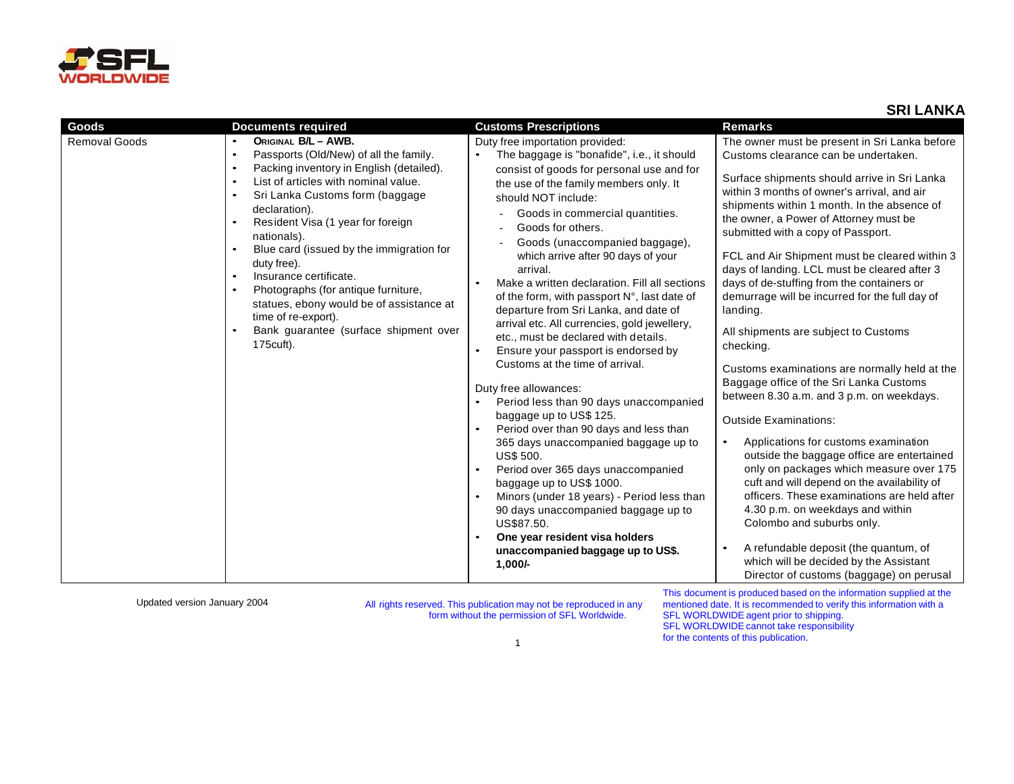

| <b>Goods</b>         | <b>Documents required</b>                                                                                                                                                                                                                                                                                                                                                                                                                                                                                                                                                                                              | <b>Customs Prescriptions</b>                                                                                                                                                                                                                                                                                                                                                                                                                                                                                                                                                                                                                                                                                                                                                                                                                                                                                                                                                                                                                                                                                                              | <b>Remarks</b>                                                                                                                                                                                                                                                                                                                                                                                                                                                                                                                                                                                                                                                                                                                                                                                                                                                                                                                                                                                                                                                                                                                                                                                |
|----------------------|------------------------------------------------------------------------------------------------------------------------------------------------------------------------------------------------------------------------------------------------------------------------------------------------------------------------------------------------------------------------------------------------------------------------------------------------------------------------------------------------------------------------------------------------------------------------------------------------------------------------|-------------------------------------------------------------------------------------------------------------------------------------------------------------------------------------------------------------------------------------------------------------------------------------------------------------------------------------------------------------------------------------------------------------------------------------------------------------------------------------------------------------------------------------------------------------------------------------------------------------------------------------------------------------------------------------------------------------------------------------------------------------------------------------------------------------------------------------------------------------------------------------------------------------------------------------------------------------------------------------------------------------------------------------------------------------------------------------------------------------------------------------------|-----------------------------------------------------------------------------------------------------------------------------------------------------------------------------------------------------------------------------------------------------------------------------------------------------------------------------------------------------------------------------------------------------------------------------------------------------------------------------------------------------------------------------------------------------------------------------------------------------------------------------------------------------------------------------------------------------------------------------------------------------------------------------------------------------------------------------------------------------------------------------------------------------------------------------------------------------------------------------------------------------------------------------------------------------------------------------------------------------------------------------------------------------------------------------------------------|
| <b>Removal Goods</b> | ORIGINAL B/L - AWB.<br>$\bullet$<br>Passports (Old/New) of all the family.<br>$\bullet$<br>Packing inventory in English (detailed).<br>$\bullet$<br>List of articles with nominal value.<br>$\bullet$<br>Sri Lanka Customs form (baggage<br>$\bullet$<br>declaration).<br>Resident Visa (1 year for foreign<br>$\bullet$<br>nationals).<br>Blue card (issued by the immigration for<br>duty free).<br>Insurance certificate.<br>$\bullet$<br>Photographs (for antique furniture,<br>$\bullet$<br>statues, ebony would be of assistance at<br>time of re-export).<br>Bank guarantee (surface shipment over<br>175cuft). | Duty free importation provided:<br>The baggage is "bonafide", i.e., it should<br>consist of goods for personal use and for<br>the use of the family members only. It<br>should NOT include:<br>Goods in commercial quantities.<br>Goods for others.<br>Goods (unaccompanied baggage),<br>which arrive after 90 days of your<br>arrival.<br>Make a written declaration. Fill all sections<br>of the form, with passport N°, last date of<br>departure from Sri Lanka, and date of<br>arrival etc. All currencies, gold jewellery,<br>etc., must be declared with details.<br>Ensure your passport is endorsed by<br>$\bullet$<br>Customs at the time of arrival.<br>Duty free allowances:<br>Period less than 90 days unaccompanied<br>baggage up to US\$ 125.<br>Period over than 90 days and less than<br>365 days unaccompanied baggage up to<br><b>US\$ 500.</b><br>Period over 365 days unaccompanied<br>$\bullet$<br>baggage up to US\$ 1000.<br>Minors (under 18 years) - Period less than<br>90 days unaccompanied baggage up to<br>US\$87.50.<br>One year resident visa holders<br>unaccompanied baggage up to US\$.<br>$1,000/-$ | The owner must be present in Sri Lanka before<br>Customs clearance can be undertaken.<br>Surface shipments should arrive in Sri Lanka<br>within 3 months of owner's arrival, and air<br>shipments within 1 month. In the absence of<br>the owner, a Power of Attorney must be<br>submitted with a copy of Passport.<br>FCL and Air Shipment must be cleared within 3<br>days of landing. LCL must be cleared after 3<br>days of de-stuffing from the containers or<br>demurrage will be incurred for the full day of<br>landing.<br>All shipments are subject to Customs<br>checking.<br>Customs examinations are normally held at the<br>Baggage office of the Sri Lanka Customs<br>between 8.30 a.m. and 3 p.m. on weekdays.<br><b>Outside Examinations:</b><br>Applications for customs examination<br>outside the baggage office are entertained<br>only on packages which measure over 175<br>cuft and will depend on the availability of<br>officers. These examinations are held after<br>4.30 p.m. on weekdays and within<br>Colombo and suburbs only.<br>A refundable deposit (the quantum, of<br>which will be decided by the Assistant<br>Director of customs (baggage) on perusal |
|                      |                                                                                                                                                                                                                                                                                                                                                                                                                                                                                                                                                                                                                        |                                                                                                                                                                                                                                                                                                                                                                                                                                                                                                                                                                                                                                                                                                                                                                                                                                                                                                                                                                                                                                                                                                                                           | This planning and in property and began along the information of monitority                                                                                                                                                                                                                                                                                                                                                                                                                                                                                                                                                                                                                                                                                                                                                                                                                                                                                                                                                                                                                                                                                                                   |

Updated version January <sup>2004</sup> All rights reserved. This publication may not be reproduced in any form without the permission of SFL Worldwide.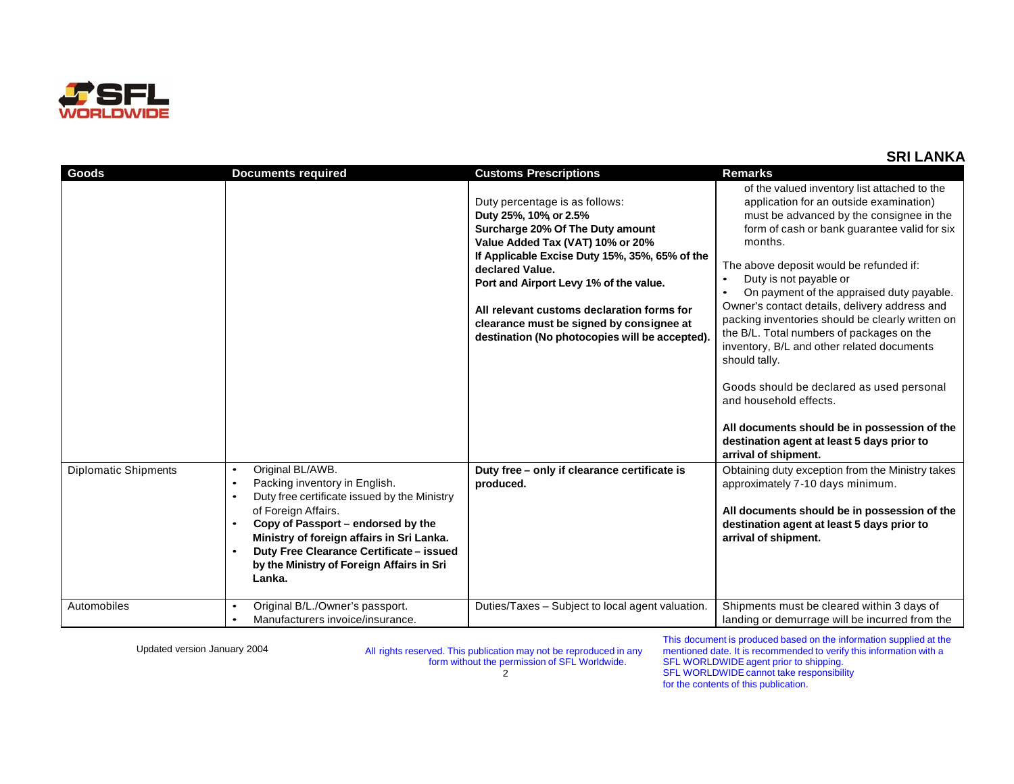

| Goods                       | <b>Documents required</b>                                                                                                                                                                                                                                                                                   | <b>Customs Prescriptions</b>                                                                                                                                                                                                                                                                                                                                                                                                                            | <b>Remarks</b>                                                                                                                                                                                                                                                                                                                                                                                                                                                                                                                                                                                                                                                                                                                                                                                                                                                                                                                               |
|-----------------------------|-------------------------------------------------------------------------------------------------------------------------------------------------------------------------------------------------------------------------------------------------------------------------------------------------------------|---------------------------------------------------------------------------------------------------------------------------------------------------------------------------------------------------------------------------------------------------------------------------------------------------------------------------------------------------------------------------------------------------------------------------------------------------------|----------------------------------------------------------------------------------------------------------------------------------------------------------------------------------------------------------------------------------------------------------------------------------------------------------------------------------------------------------------------------------------------------------------------------------------------------------------------------------------------------------------------------------------------------------------------------------------------------------------------------------------------------------------------------------------------------------------------------------------------------------------------------------------------------------------------------------------------------------------------------------------------------------------------------------------------|
| <b>Diplomatic Shipments</b> | Original BL/AWB.<br>$\bullet$<br>Packing inventory in English.<br>$\bullet$<br>Duty free certificate issued by the Ministry<br>$\bullet$<br>of Foreign Affairs.<br>Copy of Passport - endorsed by the<br>Ministry of foreign affairs in Sri Lanka.<br>Duty Free Clearance Certificate - issued<br>$\bullet$ | Duty percentage is as follows:<br>Duty 25%, 10% or 2.5%<br>Surcharge 20% Of The Duty amount<br>Value Added Tax (VAT) 10% or 20%<br>If Applicable Excise Duty 15%, 35%, 65% of the<br>declared Value.<br>Port and Airport Levy 1% of the value.<br>All relevant customs declaration forms for<br>clearance must be signed by consignee at<br>destination (No photocopies will be accepted).<br>Duty free - only if clearance certificate is<br>produced. | of the valued inventory list attached to the<br>application for an outside examination)<br>must be advanced by the consignee in the<br>form of cash or bank guarantee valid for six<br>months.<br>The above deposit would be refunded if:<br>Duty is not payable or<br>On payment of the appraised duty payable.<br>Owner's contact details, delivery address and<br>packing inventories should be clearly written on<br>the B/L. Total numbers of packages on the<br>inventory, B/L and other related documents<br>should tally.<br>Goods should be declared as used personal<br>and household effects.<br>All documents should be in possession of the<br>destination agent at least 5 days prior to<br>arrival of shipment.<br>Obtaining duty exception from the Ministry takes<br>approximately 7-10 days minimum.<br>All documents should be in possession of the<br>destination agent at least 5 days prior to<br>arrival of shipment. |
| Automobiles                 | by the Ministry of Foreign Affairs in Sri<br>Lanka.<br>Original B/L./Owner's passport.<br>$\bullet$<br>Manufacturers invoice/insurance.<br>$\bullet$                                                                                                                                                        | Duties/Taxes – Subject to local agent valuation.                                                                                                                                                                                                                                                                                                                                                                                                        | Shipments must be cleared within 3 days of<br>landing or demurrage will be incurred from the                                                                                                                                                                                                                                                                                                                                                                                                                                                                                                                                                                                                                                                                                                                                                                                                                                                 |
|                             |                                                                                                                                                                                                                                                                                                             |                                                                                                                                                                                                                                                                                                                                                                                                                                                         |                                                                                                                                                                                                                                                                                                                                                                                                                                                                                                                                                                                                                                                                                                                                                                                                                                                                                                                                              |

Updated version January <sup>2004</sup> All rights reserved. This publication may not be reproduced in any form without the permission of SFL Worldwide.  $\overline{2}$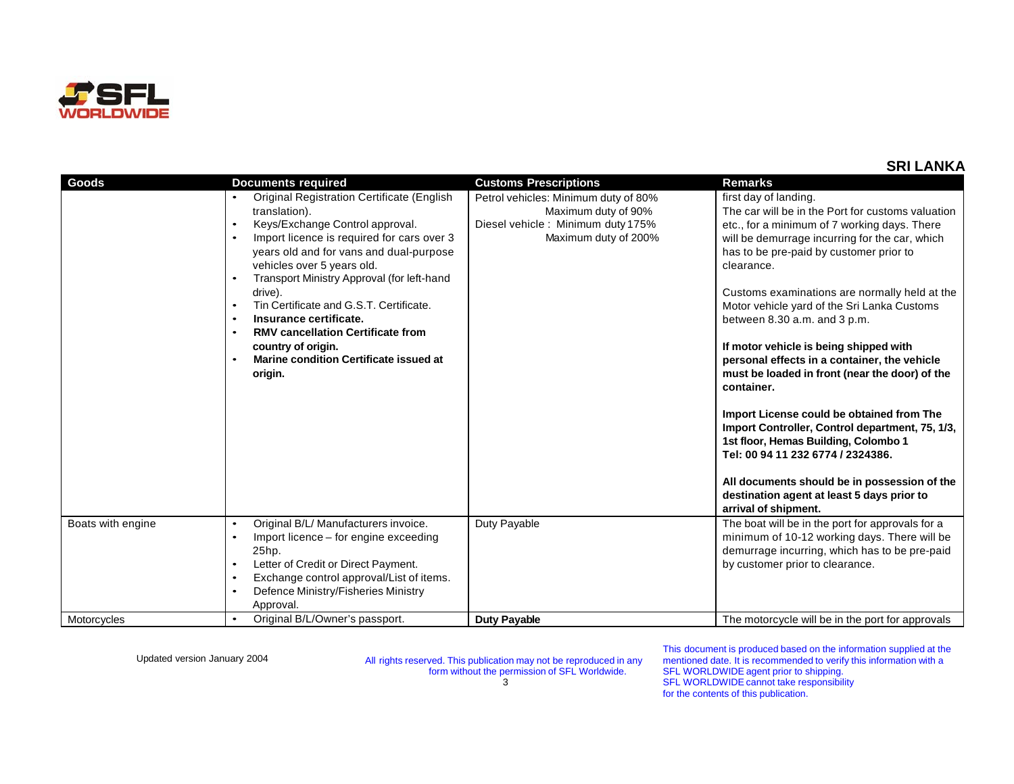

| Goods             | <b>Documents required</b>                                                                   | <b>Customs Prescriptions</b>         | <b>Remarks</b>                                                                                                                                                            |
|-------------------|---------------------------------------------------------------------------------------------|--------------------------------------|---------------------------------------------------------------------------------------------------------------------------------------------------------------------------|
|                   | Original Registration Certificate (English                                                  | Petrol vehicles: Minimum duty of 80% | first day of landing.                                                                                                                                                     |
|                   | translation).                                                                               | Maximum duty of 90%                  | The car will be in the Port for customs valuation                                                                                                                         |
|                   | Keys/Exchange Control approval.<br>$\bullet$                                                | Diesel vehicle: Minimum duty 175%    | etc., for a minimum of 7 working days. There                                                                                                                              |
|                   | Import licence is required for cars over 3<br>$\bullet$                                     | Maximum duty of 200%                 | will be demurrage incurring for the car, which                                                                                                                            |
|                   | years old and for vans and dual-purpose<br>vehicles over 5 years old.                       |                                      | has to be pre-paid by customer prior to<br>clearance.                                                                                                                     |
|                   | Transport Ministry Approval (for left-hand<br>$\bullet$                                     |                                      |                                                                                                                                                                           |
|                   | drive).                                                                                     |                                      | Customs examinations are normally held at the                                                                                                                             |
|                   | Tin Certificate and G.S.T. Certificate.<br>$\bullet$<br>Insurance certificate.<br>$\bullet$ |                                      | Motor vehicle yard of the Sri Lanka Customs<br>between 8.30 a.m. and 3 p.m.                                                                                               |
|                   | <b>RMV cancellation Certificate from</b><br>$\bullet$                                       |                                      |                                                                                                                                                                           |
|                   | country of origin.<br>Marine condition Certificate issued at                                |                                      | If motor vehicle is being shipped with<br>personal effects in a container, the vehicle                                                                                    |
|                   | origin.                                                                                     |                                      | must be loaded in front (near the door) of the<br>container.                                                                                                              |
|                   |                                                                                             |                                      | Import License could be obtained from The<br>Import Controller, Control department, 75, 1/3,<br>1st floor, Hemas Building, Colombo 1<br>Tel: 00 94 11 232 6774 / 2324386. |
|                   |                                                                                             |                                      | All documents should be in possession of the<br>destination agent at least 5 days prior to<br>arrival of shipment.                                                        |
| Boats with engine | Original B/L/ Manufacturers invoice.<br>$\bullet$                                           | Duty Payable                         | The boat will be in the port for approvals for a                                                                                                                          |
|                   | Import licence – for engine exceeding<br>$\bullet$<br>25hp.                                 |                                      | minimum of 10-12 working days. There will be                                                                                                                              |
|                   | Letter of Credit or Direct Payment.<br>$\bullet$                                            |                                      | demurrage incurring, which has to be pre-paid<br>by customer prior to clearance.                                                                                          |
|                   | Exchange control approval/List of items.<br>$\bullet$                                       |                                      |                                                                                                                                                                           |
|                   | Defence Ministry/Fisheries Ministry<br>$\bullet$                                            |                                      |                                                                                                                                                                           |
|                   | Approval.                                                                                   |                                      |                                                                                                                                                                           |
| Motorcycles       | Original B/L/Owner's passport.<br>$\bullet$                                                 | <b>Duty Payable</b>                  | The motorcycle will be in the port for approvals                                                                                                                          |

Updated version January <sup>2004</sup> All rights reserved. This publication may not be reproduced in any form without the permission of SFL Worldwide.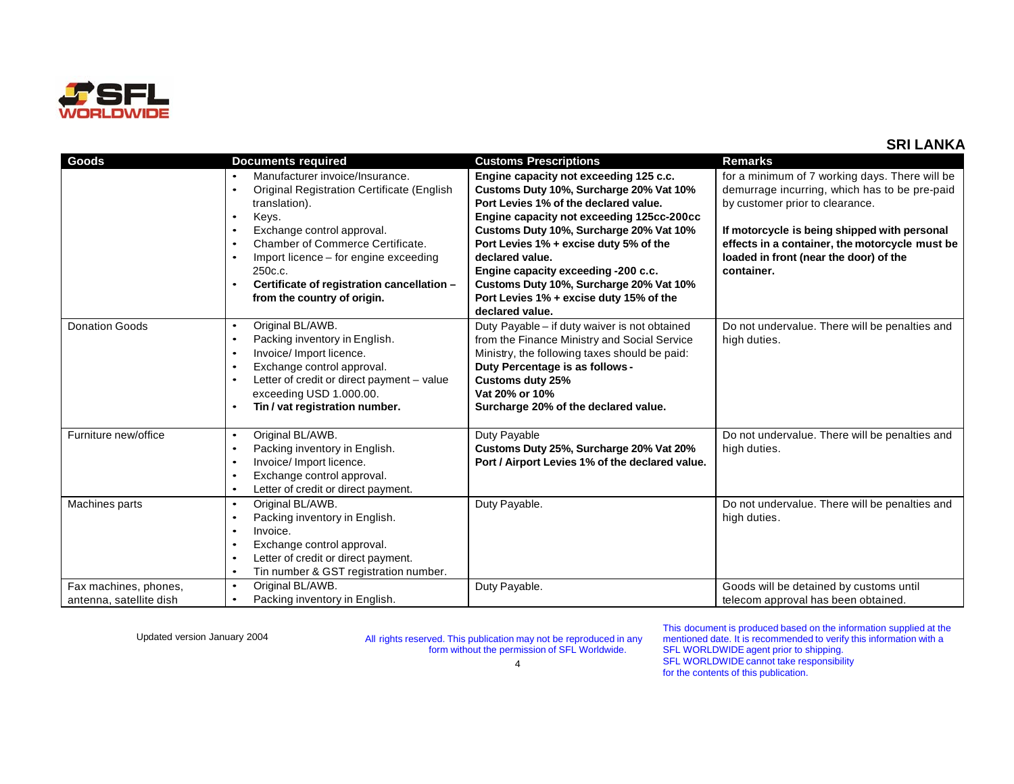

| Goods                                            | <b>Documents required</b>                                                                                                                                                                                                                                                                                                                                      | <b>Customs Prescriptions</b>                                                                                                                                                                                                                                                                                                                                                                                                    | <b>Remarks</b>                                                                                                                                                                                                                                                                               |
|--------------------------------------------------|----------------------------------------------------------------------------------------------------------------------------------------------------------------------------------------------------------------------------------------------------------------------------------------------------------------------------------------------------------------|---------------------------------------------------------------------------------------------------------------------------------------------------------------------------------------------------------------------------------------------------------------------------------------------------------------------------------------------------------------------------------------------------------------------------------|----------------------------------------------------------------------------------------------------------------------------------------------------------------------------------------------------------------------------------------------------------------------------------------------|
|                                                  | Manufacturer invoice/Insurance.<br>Original Registration Certificate (English<br>$\bullet$<br>translation).<br>Keys.<br>Exchange control approval.<br>$\bullet$<br>Chamber of Commerce Certificate.<br>$\bullet$<br>Import licence - for engine exceeding<br>$\bullet$<br>250c.c.<br>Certificate of registration cancellation -<br>from the country of origin. | Engine capacity not exceeding 125 c.c.<br>Customs Duty 10%, Surcharge 20% Vat 10%<br>Port Levies 1% of the declared value.<br>Engine capacity not exceeding 125cc-200cc<br>Customs Duty 10%, Surcharge 20% Vat 10%<br>Port Levies 1% + excise duty 5% of the<br>declared value.<br>Engine capacity exceeding -200 c.c.<br>Customs Duty 10%, Surcharge 20% Vat 10%<br>Port Levies 1% + excise duty 15% of the<br>declared value. | for a minimum of 7 working days. There will be<br>demurrage incurring, which has to be pre-paid<br>by customer prior to clearance.<br>If motorcycle is being shipped with personal<br>effects in a container, the motorcycle must be<br>loaded in front (near the door) of the<br>container. |
| <b>Donation Goods</b>                            | Original BL/AWB.<br>$\bullet$<br>Packing inventory in English.<br>$\bullet$<br>Invoice/ Import licence.<br>$\bullet$<br>Exchange control approval.<br>$\bullet$<br>Letter of credit or direct payment - value<br>$\bullet$<br>exceeding USD 1.000.00.<br>Tin / vat registration number.                                                                        | Duty Payable - if duty waiver is not obtained<br>from the Finance Ministry and Social Service<br>Ministry, the following taxes should be paid:<br>Duty Percentage is as follows -<br><b>Customs duty 25%</b><br>Vat 20% or 10%<br>Surcharge 20% of the declared value.                                                                                                                                                          | Do not undervalue. There will be penalties and<br>high duties.                                                                                                                                                                                                                               |
| Furniture new/office                             | Original BL/AWB.<br>$\bullet$<br>Packing inventory in English.<br>$\bullet$<br>Invoice/ Import licence.<br>$\bullet$<br>Exchange control approval.<br>$\bullet$<br>Letter of credit or direct payment.<br>$\bullet$                                                                                                                                            | Duty Payable<br>Customs Duty 25%, Surcharge 20% Vat 20%<br>Port / Airport Levies 1% of the declared value.                                                                                                                                                                                                                                                                                                                      | Do not undervalue. There will be penalties and<br>high duties.                                                                                                                                                                                                                               |
| Machines parts                                   | Original BL/AWB.<br>$\bullet$<br>Packing inventory in English.<br>$\bullet$<br>Invoice.<br>$\bullet$<br>Exchange control approval.<br>$\bullet$<br>Letter of credit or direct payment.<br>$\bullet$<br>Tin number & GST registration number.<br>$\bullet$                                                                                                      | Duty Payable.                                                                                                                                                                                                                                                                                                                                                                                                                   | Do not undervalue. There will be penalties and<br>high duties.                                                                                                                                                                                                                               |
| Fax machines, phones,<br>antenna, satellite dish | Original BL/AWB.<br>$\bullet$<br>Packing inventory in English.<br>$\bullet$                                                                                                                                                                                                                                                                                    | Duty Payable.                                                                                                                                                                                                                                                                                                                                                                                                                   | Goods will be detained by customs until<br>telecom approval has been obtained.                                                                                                                                                                                                               |

Updated version January <sup>2004</sup> All rights reserved. This publication may not be reproduced in any form without the permission of SFL Worldwide.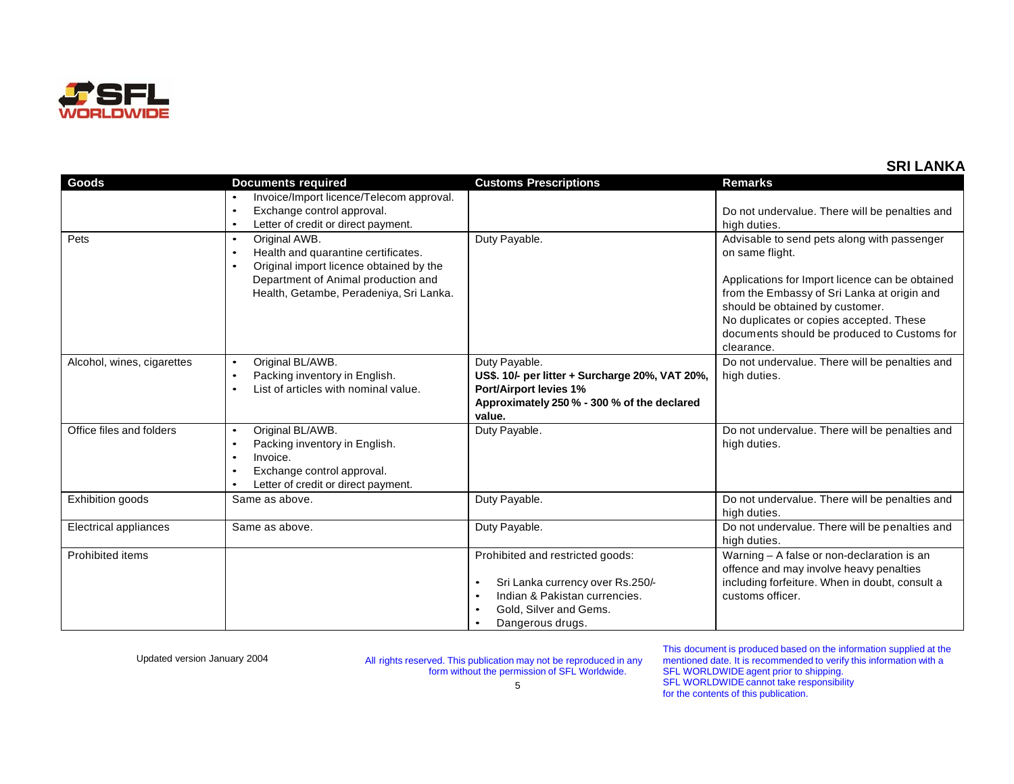

| Goods                        | <b>Documents required</b>                                                                                                                                                                                                | <b>Customs Prescriptions</b>                                                                                                                                                                    | <b>Remarks</b>                                                                                                                                                                                                                                                                                              |
|------------------------------|--------------------------------------------------------------------------------------------------------------------------------------------------------------------------------------------------------------------------|-------------------------------------------------------------------------------------------------------------------------------------------------------------------------------------------------|-------------------------------------------------------------------------------------------------------------------------------------------------------------------------------------------------------------------------------------------------------------------------------------------------------------|
|                              | Invoice/Import licence/Telecom approval.<br>$\bullet$<br>Exchange control approval.<br>$\bullet$<br>Letter of credit or direct payment.<br>$\bullet$                                                                     |                                                                                                                                                                                                 | Do not undervalue. There will be penalties and<br>high duties.                                                                                                                                                                                                                                              |
| Pets                         | Original AWB.<br>$\bullet$<br>Health and quarantine certificates.<br>$\bullet$<br>Original import licence obtained by the<br>$\bullet$<br>Department of Animal production and<br>Health, Getambe, Peradeniya, Sri Lanka. | Duty Payable.                                                                                                                                                                                   | Advisable to send pets along with passenger<br>on same flight.<br>Applications for Import licence can be obtained<br>from the Embassy of Sri Lanka at origin and<br>should be obtained by customer.<br>No duplicates or copies accepted. These<br>documents should be produced to Customs for<br>clearance. |
| Alcohol, wines, cigarettes   | Original BL/AWB.<br>$\bullet$<br>Packing inventory in English.<br>$\bullet$<br>List of articles with nominal value.<br>$\bullet$                                                                                         | Duty Payable.<br>US\$. 10/- per litter + Surcharge 20%, VAT 20%,<br><b>Port/Airport levies 1%</b><br>Approximately 250 % - 300 % of the declared<br>value.                                      | Do not undervalue. There will be penalties and<br>high duties.                                                                                                                                                                                                                                              |
| Office files and folders     | Original BL/AWB.<br>$\bullet$<br>Packing inventory in English.<br>$\bullet$<br>Invoice.<br>$\bullet$<br>Exchange control approval.<br>$\bullet$<br>Letter of credit or direct payment.<br>$\bullet$                      | Duty Payable.                                                                                                                                                                                   | Do not undervalue. There will be penalties and<br>high duties.                                                                                                                                                                                                                                              |
| Exhibition goods             | Same as above.                                                                                                                                                                                                           | Duty Payable.                                                                                                                                                                                   | Do not undervalue. There will be penalties and<br>high duties.                                                                                                                                                                                                                                              |
| <b>Electrical appliances</b> | Same as above.                                                                                                                                                                                                           | Duty Payable.                                                                                                                                                                                   | Do not undervalue. There will be penalties and<br>high duties.                                                                                                                                                                                                                                              |
| Prohibited items             |                                                                                                                                                                                                                          | Prohibited and restricted goods:<br>Sri Lanka currency over Rs.250/-<br>٠<br>Indian & Pakistan currencies.<br>$\bullet$<br>Gold, Silver and Gems.<br>$\bullet$<br>Dangerous drugs.<br>$\bullet$ | Warning - A false or non-declaration is an<br>offence and may involve heavy penalties<br>including forfeiture. When in doubt, consult a<br>customs officer.                                                                                                                                                 |